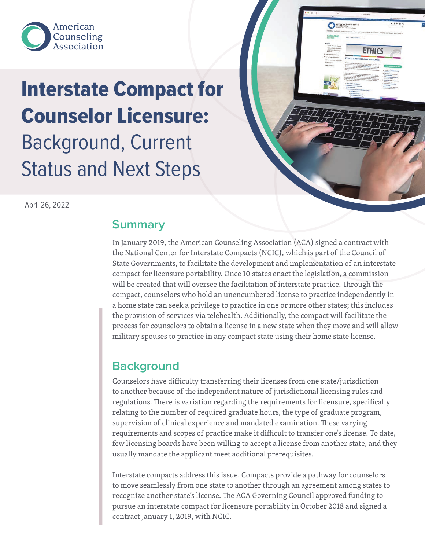

# Interstate Compact for Counselor Licensure: Background, Current Status and Next Steps

April 26, 2022

## **Summary**

In January 2019, the American Counseling Association (ACA) signed a contract with the National Center for Interstate Compacts (NCIC), which is part of the Council of State Governments, to facilitate the development and implementation of an interstate compact for licensure portability. Once 10 states enact the legislation, a commission will be created that will oversee the facilitation of interstate practice. Through the compact, counselors who hold an unencumbered license to practice independently in a home state can seek a privilege to practice in one or more other states; this includes the provision of services via telehealth. Additionally, the compact will facilitate the process for counselors to obtain a license in a new state when they move and will allow military spouses to practice in any compact state using their home state license.

**O** AMERICAN

**ETHICS** 

# **Background**

Counselors have difficulty transferring their licenses from one state/jurisdiction to another because of the independent nature of jurisdictional licensing rules and regulations. There is variation regarding the requirements for licensure, specifically relating to the number of required graduate hours, the type of graduate program, supervision of clinical experience and mandated examination. These varying requirements and scopes of practice make it difficult to transfer one's license. To date, few licensing boards have been willing to accept a license from another state, and they usually mandate the applicant meet additional prerequisites.

Interstate compacts address this issue. Compacts provide a pathway for counselors to move seamlessly from one state to another through an agreement among states to recognize another state's license. The ACA Governing Council approved funding to pursue an interstate compact for licensure portability in October 2018 and signed a contract January 1, 2019, with NCIC.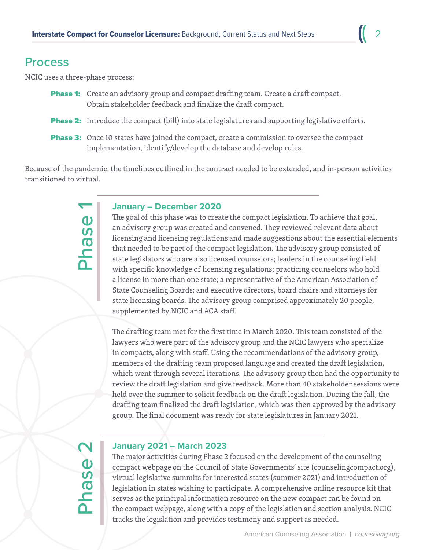### **Process**

NCIC uses a three-phase process:

- **Phase 1:** Create an advisory group and compact drafting team. Create a draft compact. Obtain stakeholder feedback and finalize the draft compact.
- **Phase 2:** Introduce the compact (bill) into state legislatures and supporting legislative efforts.
- **Phase 3:** Once 10 states have joined the compact, create a commission to oversee the compact implementation, identify/develop the database and develop rules.

Because of the pandemic, the timelines outlined in the contract needed to be extended, and in-person activities transitioned to virtual.

Phase 1

#### **January – December 2020**

The goal of this phase was to create the compact legislation. To achieve that goal, an advisory group was created and convened. They reviewed relevant data about licensing and licensing regulations and made suggestions about the essential elements that needed to be part of the compact legislation. The advisory group consisted of state legislators who are also licensed counselors; leaders in the counseling field with specific knowledge of licensing regulations; practicing counselors who hold a license in more than one state; a representative of the American Association of State Counseling Boards; and executive directors, board chairs and attorneys for state licensing boards. The advisory group comprised approximately 20 people, supplemented by NCIC and ACA staff.

The drafting team met for the first time in March 2020. This team consisted of the lawyers who were part of the advisory group and the NCIC lawyers who specialize in compacts, along with staff. Using the recommendations of the advisory group, members of the drafting team proposed language and created the draft legislation, which went through several iterations. The advisory group then had the opportunity to review the draft legislation and give feedback. More than 40 stakeholder sessions were held over the summer to solicit feedback on the draft legislation. During the fall, the drafting team finalized the draft legislation, which was then approved by the advisory group. The final document was ready for state legislatures in January 2021.

Phase 2

#### **January 2021 – March 2023**

The major activities during Phase 2 focused on the development of the counseling compact webpage on the Council of State Governments' site (counselingcompact.org), virtual legislative summits for interested states (summer 2021) and introduction of legislation in states wishing to participate. A comprehensive online resource kit that serves as the principal information resource on the new compact can be found on the compact webpage, along with a copy of the legislation and section analysis. NCIC tracks the legislation and provides testimony and support as needed.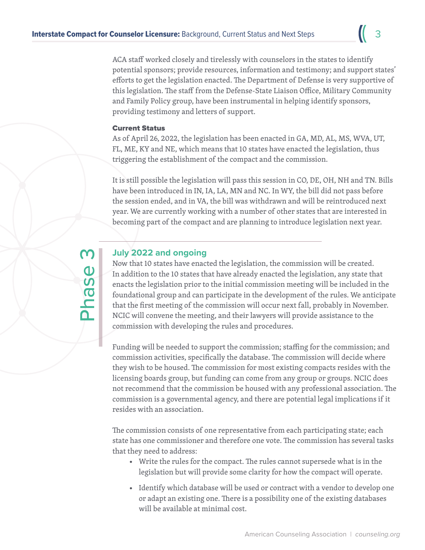ACA staff worked closely and tirelessly with counselors in the states to identify potential sponsors; provide resources, information and testimony; and support states' efforts to get the legislation enacted. The Department of Defense is very supportive of this legislation. The staff from the Defense-State Liaison Office, Military Community and Family Policy group, have been instrumental in helping identify sponsors, providing testimony and letters of support.

#### Current Status

As of April 26, 2022, the legislation has been enacted in GA, MD, AL, MS, WVA, UT, FL, ME, KY and NE, which means that 10 states have enacted the legislation, thus triggering the establishment of the compact and the commission.

It is still possible the legislation will pass this session in CO, DE, OH, NH and TN. Bills have been introduced in IN, IA, LA, MN and NC. In WY, the bill did not pass before the session ended, and in VA, the bill was withdrawn and will be reintroduced next year. We are currently working with a number of other states that are interested in becoming part of the compact and are planning to introduce legislation next year.

# Phase

#### **July 2022 and ongoing**

Now that 10 states have enacted the legislation, the commission will be created. In addition to the 10 states that have already enacted the legislation, any state that enacts the legislation prior to the initial commission meeting will be included in the foundational group and can participate in the development of the rules. We anticipate that the first meeting of the commission will occur next fall, probably in November. NCIC will convene the meeting, and their lawyers will provide assistance to the commission with developing the rules and procedures.

Funding will be needed to support the commission; staffing for the commission; and commission activities, specifically the database. The commission will decide where they wish to be housed. The commission for most existing compacts resides with the licensing boards group, but funding can come from any group or groups. NCIC does not recommend that the commission be housed with any professional association. The commission is a governmental agency, and there are potential legal implications if it resides with an association.

The commission consists of one representative from each participating state; each state has one commissioner and therefore one vote. The commission has several tasks that they need to address:

- Write the rules for the compact. The rules cannot supersede what is in the legislation but will provide some clarity for how the compact will operate.
- Identify which database will be used or contract with a vendor to develop one or adapt an existing one. There is a possibility one of the existing databases will be available at minimal cost.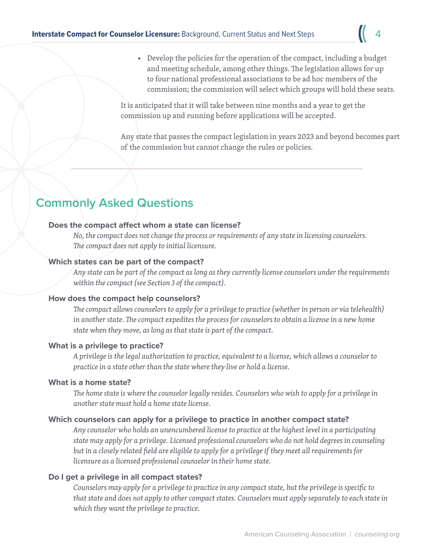• Develop the policies for the operation of the compact, including a budget and meeting schedule, among other things. The legislation allows for up to four national professional associations to be ad hoc members of the commission; the commission will select which groups will hold these seats.

It is anticipated that it will take between nine months and a year to get the commission up and running before applications will be accepted.

Any state that passes the compact legislation in years 2023 and beyond becomes part of the commission but cannot change the rules or policies.

# **Commonly Asked Questions**

#### **Does the compact affect whom a state can license?**

*No, the compact does not change the process or requirements of any state in licensing counselors. The compact does not apply to initial licensure.*

#### **Which states can be part of the compact?**

*Any state can be part of the compact as long as they currently license counselors under the requirements within the compact (see Section 3 of the compact).*

#### **How does the compact help counselors?**

*The compact allows counselors to apply for a privilege to practice (whether in person or via telehealth) in another state. The compact expedites the process for counselors to obtain a license in a new home state when they move, as long as that state is part of the compact.*

#### **What is a privilege to practice?**

*A privilege is the legal authorization to practice, equivalent to a license, which allows a counselor to practice in a state other than the state where they live or hold a license.*

#### **What is a home state?**

*The home state is where the counselor legally resides. Counselors who wish to apply for a privilege in another state must hold a home state license.*

#### **Which counselors can apply for a privilege to practice in another compact state?**

*Any counselor who holds an unencumbered license to practice at the highest level in a participating state may apply for a privilege. Licensed professional counselors who do not hold degrees in counseling but in a closely related field are eligible to apply for a privilege if they meet all requirements for licensure as a licensed professional counselor in their home state.*

#### **Do I get a privilege in all compact states?**

*Counselors may apply for a privilege to practice in any compact state, but the privilege is specific to that state and does not apply to other compact states. Counselors must apply separately to each state in which they want the privilege to practice.*